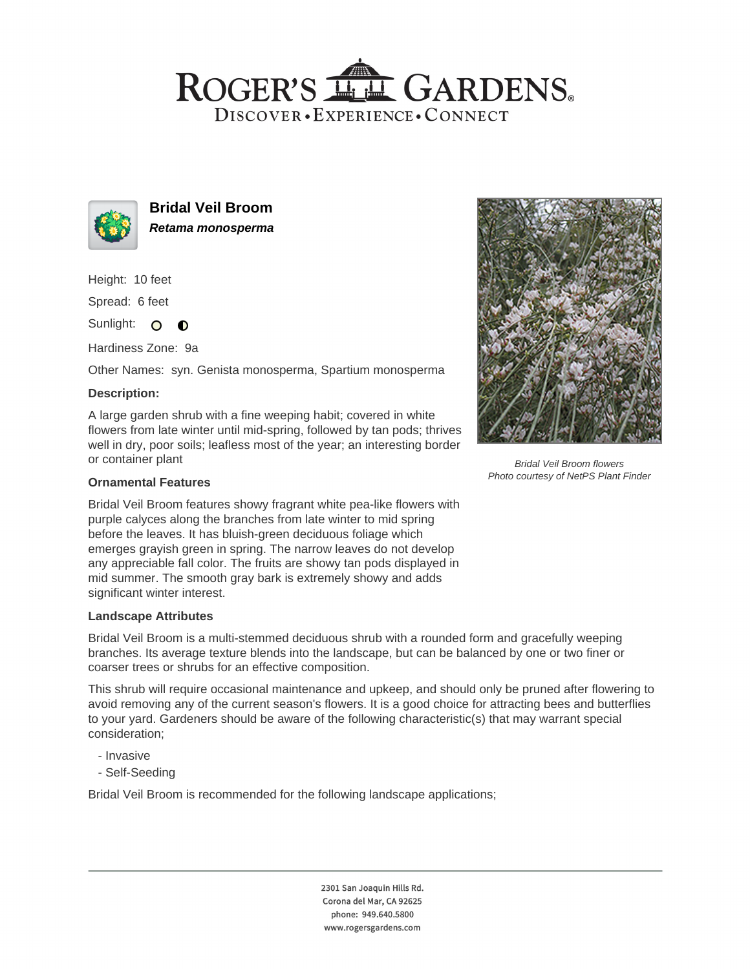# ROGER'S LL GARDENS. DISCOVER · EXPERIENCE · CONNECT



**Bridal Veil Broom Retama monosperma**

Height: 10 feet

Spread: 6 feet

Sunlight: O  $\bullet$ 

Hardiness Zone: 9a

Other Names: syn. Genista monosperma, Spartium monosperma

## **Description:**

A large garden shrub with a fine weeping habit; covered in white flowers from late winter until mid-spring, followed by tan pods; thrives well in dry, poor soils; leafless most of the year; an interesting border or container plant

### **Ornamental Features**

Bridal Veil Broom features showy fragrant white pea-like flowers with purple calyces along the branches from late winter to mid spring before the leaves. It has bluish-green deciduous foliage which emerges grayish green in spring. The narrow leaves do not develop any appreciable fall color. The fruits are showy tan pods displayed in mid summer. The smooth gray bark is extremely showy and adds significant winter interest.

#### **Landscape Attributes**

Bridal Veil Broom is a multi-stemmed deciduous shrub with a rounded form and gracefully weeping branches. Its average texture blends into the landscape, but can be balanced by one or two finer or coarser trees or shrubs for an effective composition.

This shrub will require occasional maintenance and upkeep, and should only be pruned after flowering to avoid removing any of the current season's flowers. It is a good choice for attracting bees and butterflies to your yard. Gardeners should be aware of the following characteristic(s) that may warrant special consideration;

- Invasive
- Self-Seeding

Bridal Veil Broom is recommended for the following landscape applications;

2301 San Joaquin Hills Rd. Corona del Mar, CA 92625 phone: 949.640.5800 www.rogersgardens.com



Bridal Veil Broom flowers Photo courtesy of NetPS Plant Finder